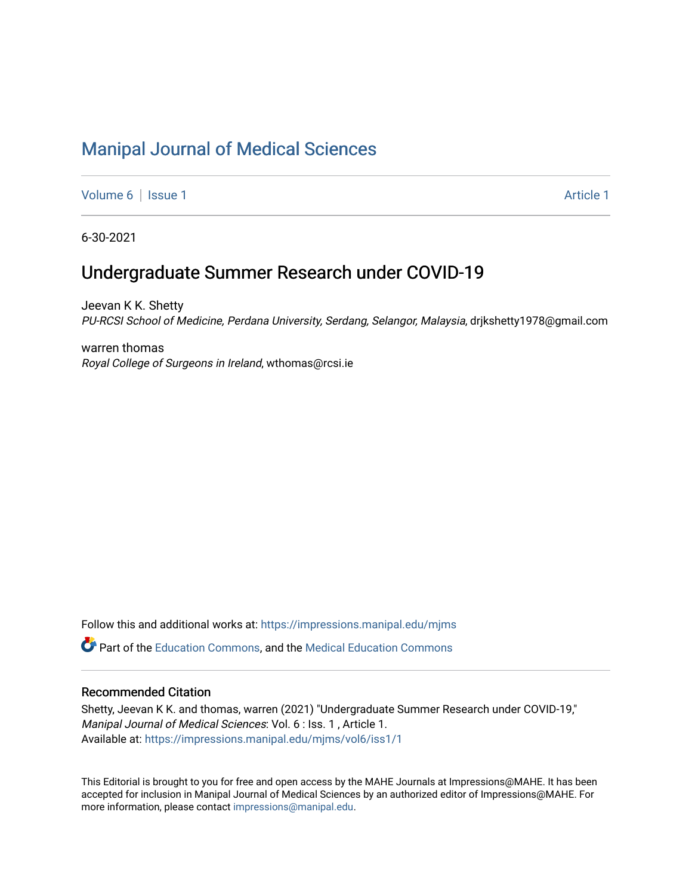# [Manipal Journal of Medical Sciences](https://impressions.manipal.edu/mjms)

[Volume 6](https://impressions.manipal.edu/mjms/vol6) | [Issue 1](https://impressions.manipal.edu/mjms/vol6/iss1) Article 1

6-30-2021

# Undergraduate Summer Research under COVID-19

Jeevan K K. Shetty PU-RCSI School of Medicine, Perdana University, Serdang, Selangor, Malaysia, drjkshetty1978@gmail.com

warren thomas Royal College of Surgeons in Ireland, wthomas@rcsi.ie

Follow this and additional works at: [https://impressions.manipal.edu/mjms](https://impressions.manipal.edu/mjms?utm_source=impressions.manipal.edu%2Fmjms%2Fvol6%2Fiss1%2F1&utm_medium=PDF&utm_campaign=PDFCoverPages) **P** Part of the [Education Commons](http://network.bepress.com/hgg/discipline/784?utm_source=impressions.manipal.edu%2Fmjms%2Fvol6%2Fiss1%2F1&utm_medium=PDF&utm_campaign=PDFCoverPages), and the Medical Education Commons

#### Recommended Citation

Shetty, Jeevan K K. and thomas, warren (2021) "Undergraduate Summer Research under COVID-19," Manipal Journal of Medical Sciences: Vol. 6 : Iss. 1 , Article 1. Available at: [https://impressions.manipal.edu/mjms/vol6/iss1/1](https://impressions.manipal.edu/mjms/vol6/iss1/1?utm_source=impressions.manipal.edu%2Fmjms%2Fvol6%2Fiss1%2F1&utm_medium=PDF&utm_campaign=PDFCoverPages)

This Editorial is brought to you for free and open access by the MAHE Journals at Impressions@MAHE. It has been accepted for inclusion in Manipal Journal of Medical Sciences by an authorized editor of Impressions@MAHE. For more information, please contact [impressions@manipal.edu.](mailto:impressions@manipal.edu)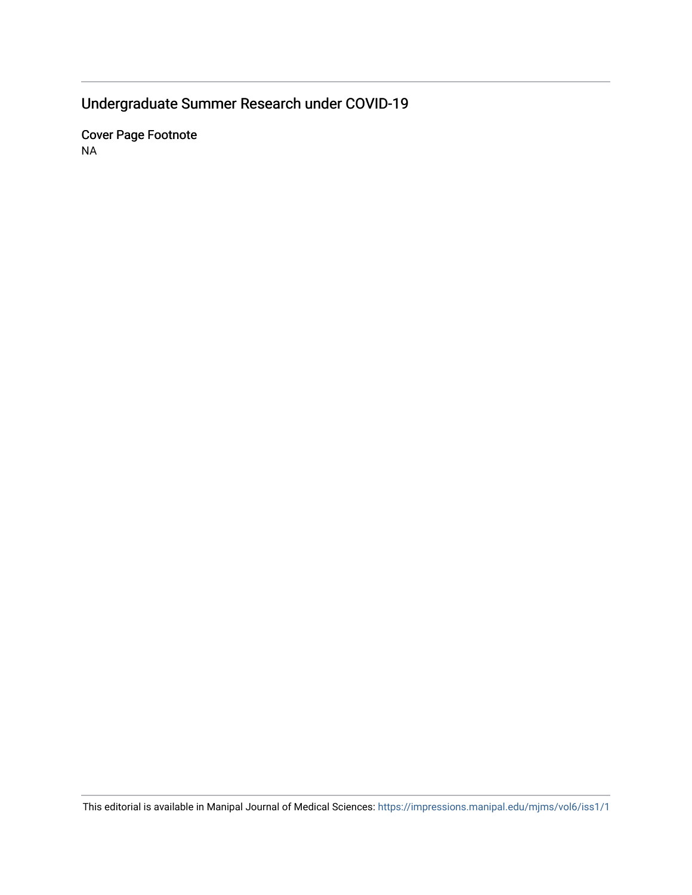# Undergraduate Summer Research under COVID-19

Cover Page Footnote NA

This editorial is available in Manipal Journal of Medical Sciences: <https://impressions.manipal.edu/mjms/vol6/iss1/1>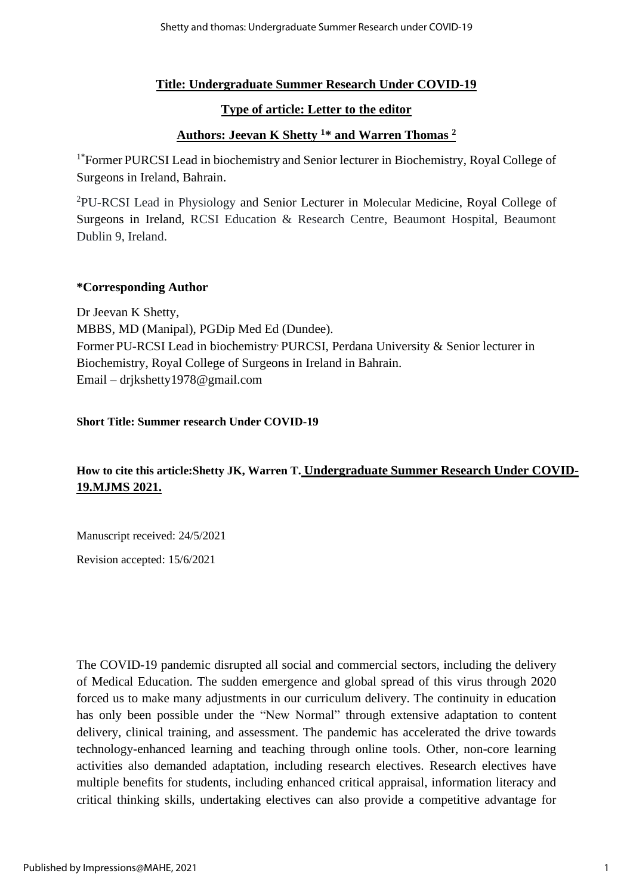### **Title: Undergraduate Summer Research Under COVID-19**

### **Type of article: Letter to the editor**

### **Authors: Jeevan K Shetty <sup>1</sup>\* and Warren Thomas <sup>2</sup>**

<sup>1\*</sup>Former PURCSI Lead in biochemistry and Senior lecturer in Biochemistry, Royal College of Surgeons in Ireland, Bahrain.

<sup>2</sup>PU-RCSI Lead in Physiology and Senior Lecturer in Molecular Medicine, Royal College of Surgeons in Ireland, RCSI Education & Research Centre, Beaumont Hospital, Beaumont Dublin 9, Ireland.

#### **\*Corresponding Author**

Dr Jeevan K Shetty, MBBS, MD (Manipal), PGDip Med Ed (Dundee). Former PU-RCSI Lead in biochemistry, PURCSI, Perdana University & Senior lecturer in Biochemistry, Royal College of Surgeons in Ireland in Bahrain. Email – drjkshetty1978@gmail.com

#### **Short Title: Summer research Under COVID-19**

### **How to cite this article:Shetty JK, Warren T. Undergraduate Summer Research Under COVID-19.MJMS 2021.**

Manuscript received: 24/5/2021

Revision accepted: 15/6/2021

The COVID-19 pandemic disrupted all social and commercial sectors, including the delivery of Medical Education. The sudden emergence and global spread of this virus through 2020 forced us to make many adjustments in our curriculum delivery. The continuity in education has only been possible under the "New Normal" through extensive adaptation to content delivery, clinical training, and assessment. The pandemic has accelerated the drive towards technology-enhanced learning and teaching through online tools. Other, non-core learning activities also demanded adaptation, including research electives. Research electives have multiple benefits for students, including enhanced critical appraisal, information literacy and critical thinking skills, undertaking electives can also provide a competitive advantage for